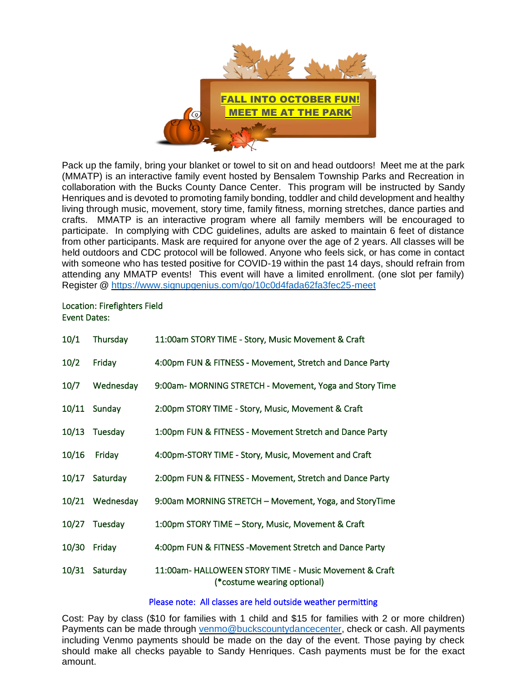

Pack up the family, bring your blanket or towel to sit on and head outdoors! Meet me at the park (MMATP) is an interactive family event hosted by Bensalem Township Parks and Recreation in collaboration with the Bucks County Dance Center. This program will be instructed by Sandy Henriques and is devoted to promoting family bonding, toddler and child development and healthy living through music, movement, story time, family fitness, morning stretches, dance parties and crafts. MMATP is an interactive program where all family members will be encouraged to participate. In complying with CDC guidelines, adults are asked to maintain 6 feet of distance from other participants. Mask are required for anyone over the age of 2 years. All classes will be held outdoors and CDC protocol will be followed. Anyone who feels sick, or has come in contact with someone who has tested positive for COVID-19 within the past 14 days, should refrain from attending any MMATP events! This event will have a limited enrollment. (one slot per family) Register @<https://www.signupgenius.com/go/10c0d4fada62fa3fec25-meet>

## Location: Firefighters Field Event Dates:

| 10/1  | Thursday        | 11:00am STORY TIME - Story, Music Movement & Craft                                    |
|-------|-----------------|---------------------------------------------------------------------------------------|
| 10/2  | Friday          | 4:00pm FUN & FITNESS - Movement, Stretch and Dance Party                              |
| 10/7  | Wednesday       | 9:00am- MORNING STRETCH - Movement, Yoga and Story Time                               |
| 10/11 | Sunday          | 2:00pm STORY TIME - Story, Music, Movement & Craft                                    |
| 10/13 | Tuesday         | 1:00pm FUN & FITNESS - Movement Stretch and Dance Party                               |
| 10/16 | Friday          | 4:00pm-STORY TIME - Story, Music, Movement and Craft                                  |
| 10/17 | Saturday        | 2:00pm FUN & FITNESS - Movement, Stretch and Dance Party                              |
|       | 10/21 Wednesday | 9:00am MORNING STRETCH - Movement, Yoga, and StoryTime                                |
| 10/27 | Tuesday         | 1:00pm STORY TIME - Story, Music, Movement & Craft                                    |
| 10/30 | Friday          | 4:00pm FUN & FITNESS - Movement Stretch and Dance Party                               |
| 10/31 | Saturday        | 11:00am- HALLOWEEN STORY TIME - Music Movement & Craft<br>(*costume wearing optional) |

## Please note: All classes are held outside weather permitting

Cost: Pay by class (\$10 for families with 1 child and \$15 for families with 2 or more children) Payments can be made through [venmo@buckscountydancecenter,](mailto:venmo@buckscountydancecenter) check or cash. All payments including Venmo payments should be made on the day of the event. Those paying by check should make all checks payable to Sandy Henriques. Cash payments must be for the exact amount.